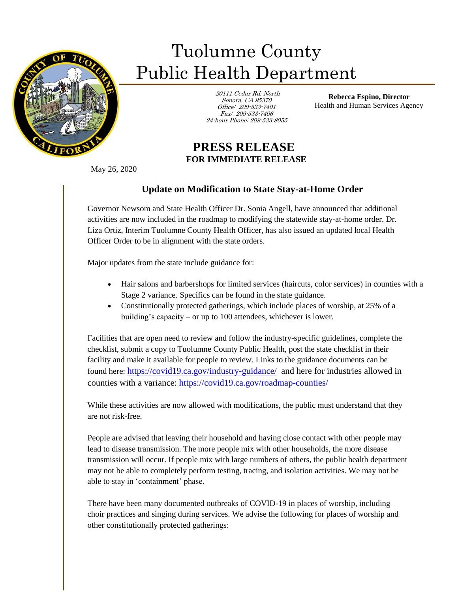

## Tuolumne County Public Health Department

 20111 Cedar Rd. North Sonora, CA 95370 Office: 209-533-7401 Fax: 209-533-7406 24-hour Phone: 209-533-8055

**Rebecca Espino, Director** Health and Human Services Agency

## **PRESS RELEASE FOR IMMEDIATE RELEASE**

May 26, 2020

Ī

## **Update on Modification to State Stay-at-Home Order**

Governor Newsom and State Health Officer Dr. Sonia Angell, have announced that additional activities are now included in the roadmap to modifying the statewide stay-at-home order. Dr. Liza Ortiz, Interim Tuolumne County Health Officer, has also issued an updated local Health Officer Order to be in alignment with the state orders.

Major updates from the state include guidance for:

- Hair salons and barbershops for limited services (haircuts, color services) in counties with a Stage 2 variance. Specifics can be found in the state guidance.
- Constitutionally protected gatherings, which include places of worship, at 25% of a building's capacity – or up to 100 attendees, whichever is lower.

Facilities that are open need to review and follow the industry-specific guidelines, complete the checklist, submit a copy to Tuolumne County Public Health, post the state checklist in their facility and make it available for people to review. Links to the guidance documents can be found here: <https://covid19.ca.gov/industry-guidance/> and here for industries allowed in counties with a variance:<https://covid19.ca.gov/roadmap-counties/>

While these activities are now allowed with modifications, the public must understand that they are not risk-free.

People are advised that leaving their household and having close contact with other people may lead to disease transmission. The more people mix with other households, the more disease transmission will occur. If people mix with large numbers of others, the public health department may not be able to completely perform testing, tracing, and isolation activities. We may not be able to stay in 'containment' phase.

There have been many documented outbreaks of COVID-19 in places of worship, including choir practices and singing during services. We advise the following for places of worship and other constitutionally protected gatherings: